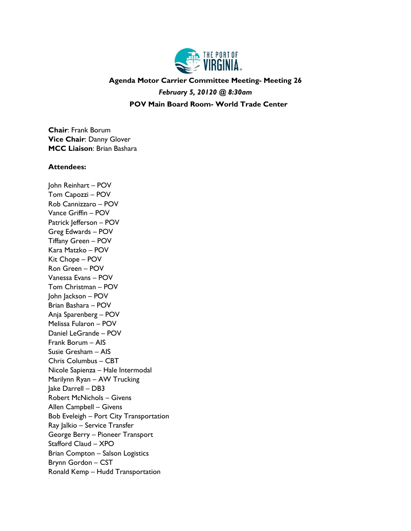

## **Agenda Motor Carrier Committee Meeting- Meeting 26** *February 5, 20120 @ 8:30am* **POV Main Board Room- World Trade Center**

**Chair**: Frank Borum **Vice Chair**: Danny Glover **MCC Liaison**: Brian Bashara

## **Attendees:**

John Reinhart – POV Tom Capozzi – POV Rob Cannizzaro – POV Vance Griffin – POV Patrick Jefferson - POV Greg Edwards – POV Tiffany Green – POV Kara Matzko – POV Kit Chope – POV Ron Green – POV Vanessa Evans – POV Tom Christman – POV John Jackson – POV Brian Bashara – POV Anja Sparenberg – POV Melissa Fularon – POV Daniel LeGrande – POV Frank Borum – AIS Susie Gresham – AIS Chris Columbus – CBT Nicole Sapienza – Hale Intermodal Marilynn Ryan – AW Trucking Jake Darrell – DB3 Robert McNichols – Givens Allen Campbell – Givens Bob Eveleigh – Port City Transportation Ray Jalkio – Service Transfer George Berry – Pioneer Transport Stafford Claud – XPO Brian Compton – Salson Logistics Brynn Gordon – CST Ronald Kemp – Hudd Transportation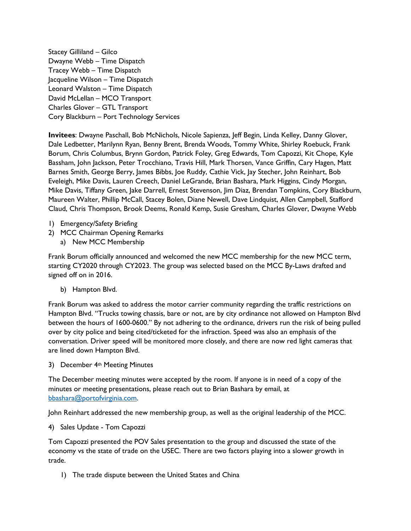Stacey Gilliland – Gilco Dwayne Webb – Time Dispatch Tracey Webb – Time Dispatch Jacqueline Wilson – Time Dispatch Leonard Walston – Time Dispatch David McLellan – MCO Transport Charles Glover – GTL Transport Cory Blackburn – Port Technology Services

**Invitees**: Dwayne Paschall, Bob McNichols, Nicole Sapienza, Jeff Begin, Linda Kelley, Danny Glover, Dale Ledbetter, Marilynn Ryan, Benny Brent, Brenda Woods, Tommy White, Shirley Roebuck, Frank Borum, Chris Columbus, Brynn Gordon, Patrick Foley, Greg Edwards, Tom Capozzi, Kit Chope, Kyle Bassham, John Jackson, Peter Trocchiano, Travis Hill, Mark Thorsen, Vance Griffin, Cary Hagen, Matt Barnes Smith, George Berry, James Bibbs, Joe Ruddy, Cathie Vick, Jay Stecher, John Reinhart, Bob Eveleigh, Mike Davis, Lauren Creech, Daniel LeGrande, Brian Bashara, Mark Higgins, Cindy Morgan, Mike Davis, Tiffany Green, Jake Darrell, Ernest Stevenson, Jim Diaz, Brendan Tompkins, Cory Blackburn, Maureen Walter, Phillip McCall, Stacey Bolen, Diane Newell, Dave Lindquist, Allen Campbell, Stafford Claud, Chris Thompson, Brook Deems, Ronald Kemp, Susie Gresham, Charles Glover, Dwayne Webb

- 1) Emergency/Safety Briefing
- 2) MCC Chairman Opening Remarks
	- a) New MCC Membership

Frank Borum officially announced and welcomed the new MCC membership for the new MCC term, starting CY2020 through CY2023. The group was selected based on the MCC By-Laws drafted and signed off on in 2016.

b) Hampton Blvd.

Frank Borum was asked to address the motor carrier community regarding the traffic restrictions on Hampton Blvd. "Trucks towing chassis, bare or not, are by city ordinance not allowed on Hampton Blvd between the hours of 1600-0600." By not adhering to the ordinance, drivers run the risk of being pulled over by city police and being cited/ticketed for the infraction. Speed was also an emphasis of the conversation. Driver speed will be monitored more closely, and there are now red light cameras that are lined down Hampton Blvd.

3) December 4th Meeting Minutes

The December meeting minutes were accepted by the room. If anyone is in need of a copy of the minutes or meeting presentations, please reach out to Brian Bashara by email, at [bbashara@portofvirginia.com.](mailto:bbashara@portofvirginia.com)

John Reinhart addressed the new membership group, as well as the original leadership of the MCC.

4) Sales Update - Tom Capozzi

Tom Capozzi presented the POV Sales presentation to the group and discussed the state of the economy vs the state of trade on the USEC. There are two factors playing into a slower growth in trade.

1) The trade dispute between the United States and China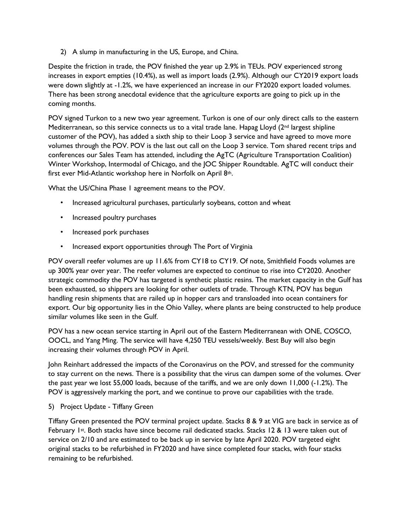2) A slump in manufacturing in the US, Europe, and China.

Despite the friction in trade, the POV finished the year up 2.9% in TEUs. POV experienced strong increases in export empties (10.4%), as well as import loads (2.9%). Although our CY2019 export loads were down slightly at -1.2%, we have experienced an increase in our FY2020 export loaded volumes. There has been strong anecdotal evidence that the agriculture exports are going to pick up in the coming months.

POV signed Turkon to a new two year agreement. Turkon is one of our only direct calls to the eastern Mediterranean, so this service connects us to a vital trade lane. Hapag Lloyd  $(2^{nd}$  largest shipline customer of the POV), has added a sixth ship to their Loop 3 service and have agreed to move more volumes through the POV. POV is the last out call on the Loop 3 service. Tom shared recent trips and conferences our Sales Team has attended, including the AgTC (Agriculture Transportation Coalition) Winter Workshop, Intermodal of Chicago, and the JOC Shipper Roundtable. AgTC will conduct their first ever Mid-Atlantic workshop here in Norfolk on April 8th.

What the US/China Phase 1 agreement means to the POV.

- Increased agricultural purchases, particularly soybeans, cotton and wheat
- Increased poultry purchases
- Increased pork purchases
- Increased export opportunities through The Port of Virginia

POV overall reefer volumes are up 11.6% from CY18 to CY19. Of note, Smithfield Foods volumes are up 300% year over year. The reefer volumes are expected to continue to rise into CY2020. Another strategic commodity the POV has targeted is synthetic plastic resins. The market capacity in the Gulf has been exhausted, so shippers are looking for other outlets of trade. Through KTN, POV has begun handling resin shipments that are railed up in hopper cars and transloaded into ocean containers for export. Our big opportunity lies in the Ohio Valley, where plants are being constructed to help produce similar volumes like seen in the Gulf.

POV has a new ocean service starting in April out of the Eastern Mediterranean with ONE, COSCO, OOCL, and Yang Ming. The service will have 4,250 TEU vessels/weekly. Best Buy will also begin increasing their volumes through POV in April.

John Reinhart addressed the impacts of the Coronavirus on the POV, and stressed for the community to stay current on the news. There is a possibility that the virus can dampen some of the volumes. Over the past year we lost 55,000 loads, because of the tariffs, and we are only down 11,000 (-1.2%). The POV is aggressively marking the port, and we continue to prove our capabilities with the trade.

5) Project Update - Tiffany Green

Tiffany Green presented the POV terminal project update. Stacks 8 & 9 at VIG are back in service as of February 1st. Both stacks have since become rail dedicated stacks. Stacks 12 & 13 were taken out of service on 2/10 and are estimated to be back up in service by late April 2020. POV targeted eight original stacks to be refurbished in FY2020 and have since completed four stacks, with four stacks remaining to be refurbished.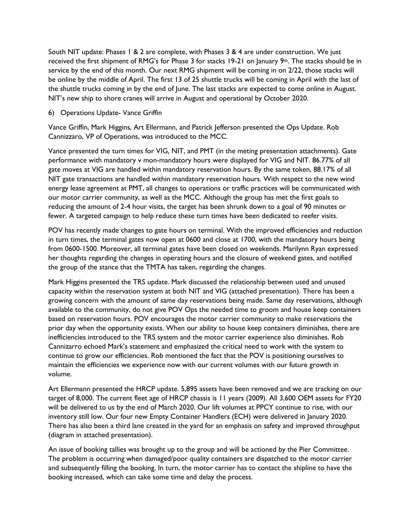South NIT update: Phases 1 & 2 are complete, with Phases 3 & 4 are under construction. We just received the first shipment of RMG's for Phase 3 for stacks 19-21 on January 9<sup>th</sup>. The stacks should be in service by the end of this month. Our next RMG shipment will be coming in on 2/22, those stacks will be online by the middle of April. The first 13 of 25 shuttle trucks will be coming in April with the last of the shuttle trucks coming in by the end of June. The last stacks are expected to come online in August. NIT's new ship to shore cranes will arrive in August and operational by October 2020.

6) Operations Update- Vance Griffin

Vance Griffin, Mark Higgins, Art Ellermann, and Patrick Jefferson presented the Ops Update. Rob Cannizzaro, VP of Operations, was introduced to the MCC.

Vance presented the turn times for VIG, NIT, and PMT (in the meting presentation attachments). Gate performance with mandatory v mon-mandatory hours were displayed for VIG and NIT. 86.77% of all gate moves at VIG are handled within mandatory reservation hours. By the same token, 88.17% of all NIT gate transactions are handled within mandatory reservation hours. With respect to the new wind energy lease agreement at PMT, all changes to operations or traffic practices will be communicated with our motor carrier community, as well as the MCC. Although the group has met the first goals to reducing the amount of 2-4 hour visits, the target has been shrunk down to a goal of 90 minutes or fewer. A targeted campaign to help reduce these turn times have been dedicated to reefer visits.

POV has recently made changes to gate hours on terminal. With the improved efficiencies and reduction in turn times, the terminal gates now open at 0600 and close at 1700, with the mandatory hours being from 0600-1500. Moreover, all terminal gates have been closed on weekends. Marilynn Ryan expressed her thoughts regarding the changes in operating hours and the closure of weekend gates, and notified the group of the stance that the TMTA has taken, regarding the changes.

Mark Higgins presented the TRS update. Mark discussed the relationship between used and unused capacity within the reservation system at both NIT and VIG (attached presentation). There has been a growing concern with the amount of same day reservations being made. Same day reservations, although available to the community, do not give POV Ops the needed time to groom and house keep containers based on reservation hours. POV encourages the motor carrier community to make reservations the prior day when the opportunity exists. When our ability to house keep containers diminishes, there are inefficiencies introduced to the TRS system and the motor carrier experience also diminishes. Rob Cannizarro echoed Mark's statement and emphasized the critical need to work with the system to continue to grow our efficiencies. Rob mentioned the fact that the POV is positioning ourselves to maintain the efficiencies we experience now with our current volumes with our future growth in volume.

Art Ellermann presented the HRCP update. 5,895 assets have been removed and we are tracking on our target of 8,000. The current fleet age of HRCP chassis is 11 years (2009). All 3,600 OEM assets for FY20 will be delivered to us by the end of March 2020. Our lift volumes at PPCY continue to rise, with our inventory still low. Our four new Empty Container Handlers (ECH) were delivered in January 2020. There has also been a third lane created in the yard for an emphasis on safety and improved throughput (diagram in attached presentation).

An issue of booking tallies was brought up to the group and will be actioned by the Pier Committee. The problem is occurring when damaged/poor quality containers are dispatched to the motor carrier and subsequently filling the booking. In turn, the motor carrier has to contact the shipline to have the booking increased, which can take some time and delay the process.